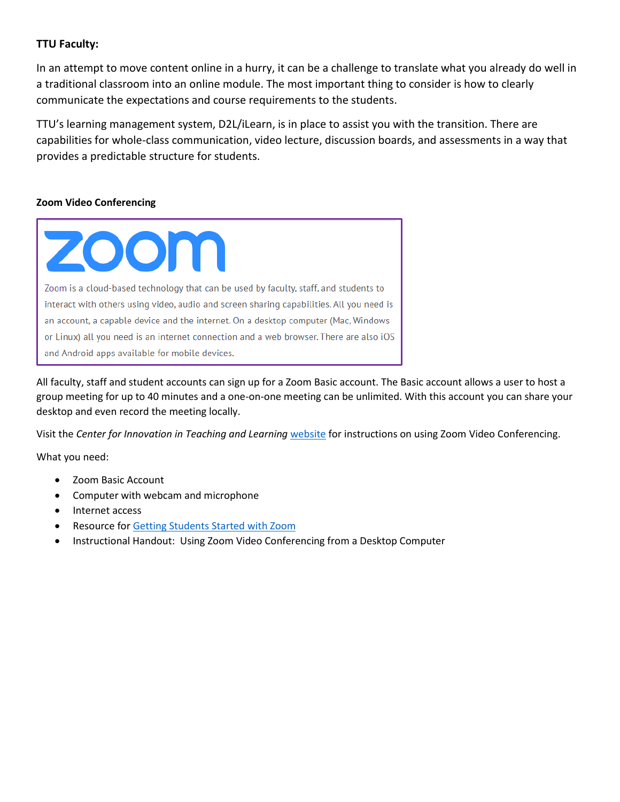## **TTU Faculty:**

In an attempt to move content online in a hurry, it can be a challenge to translate what you already do well in a traditional classroom into an online module. The most important thing to consider is how to clearly communicate the expectations and course requirements to the students.

TTU's learning management system, D2L/iLearn, is in place to assist you with the transition. There are capabilities for whole-class communication, video lecture, discussion boards, and assessments in a way that provides a predictable structure for students.

### **Zoom Video Conferencing**



All faculty, staff and student accounts can sign up for a Zoom Basic account. The Basic account allows a user to host a group meeting for up to 40 minutes and a one-on-one meeting can be unlimited. With this account you can share your desktop and even record the meeting locally.

Visit the *Center for Innovation in Teaching and Learning* [website](https://www.tntech.edu/citl/tech-services/zoom-ttu/) for instructions on using Zoom Video Conferencing.

What you need:

- Zoom Basic Account
- Computer with webcam and microphone
- Internet access
- Resource for [Getting Students Started with Zoom](https://www.youtube.com/watch?v=HqncX7RE0wM&feature=youtu.be)
- Instructional Handout: Using Zoom Video Conferencing from a Desktop Computer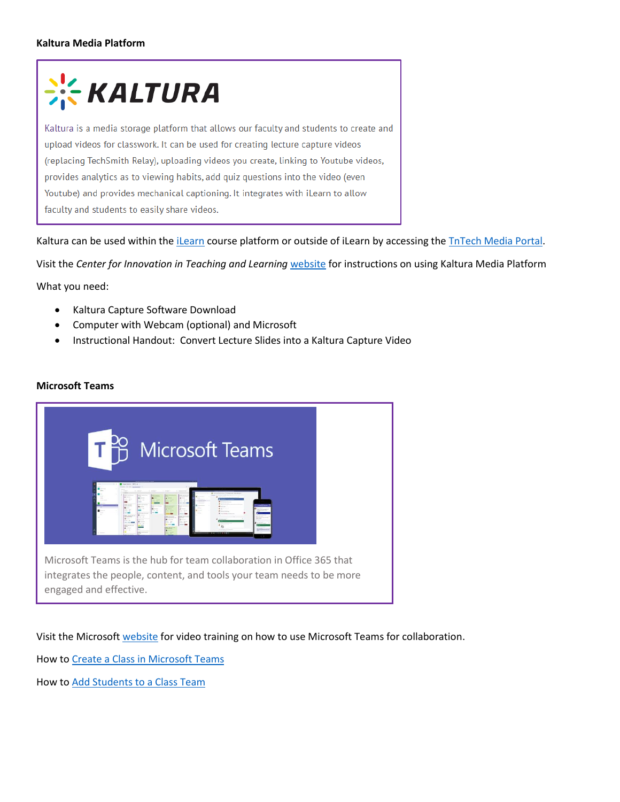### **Kaltura Media Platform**

# **KALTURA**

Kaltura is a media storage platform that allows our faculty and students to create and upload videos for classwork. It can be used for creating lecture capture videos (replacing TechSmith Relay), uploading videos you create, linking to Youtube videos, provides analytics as to viewing habits, add quiz questions into the video (even Youtube) and provides mechanical captioning. It integrates with iLearn to allow faculty and students to easily share videos.

Kaltura can be used within the *iLearn* course platform or outside of [iLearn](https://www.tntech.edu/citl/tech-services/kaltura-media/ilearn-kaltura.php) by accessing the *TnTech Media Portal*.

Visit the *Center for Innovation in Teaching and Learning* [website](https://www.tntech.edu/citl/tech-services/kaltura-media/index.php) for instructions on using Kaltura Media Platform

What you need:

- Kaltura Capture Software Download
- Computer with Webcam (optional) and Microsoft
- Instructional Handout: Convert Lecture Slides into a Kaltura Capture Video

#### **Microsoft Teams**



Visit the Microsoft [website](https://support.office.com/en-us/article/microsoft-teams-video-training-4f108e54-240b-4351-8084-b1089f0d21d7) for video training on how to use Microsoft Teams for collaboration.

How to [Create a Class in Microsoft Teams](https://support.office.com/en-us/article/create-a-class-team-in-microsoft-teams-fae422eb-58b7-4431-9ff2-a4b9b6ae7c5b?ui=en-US&rs=en-US&ad=US)

How to Add Students to a Class Team